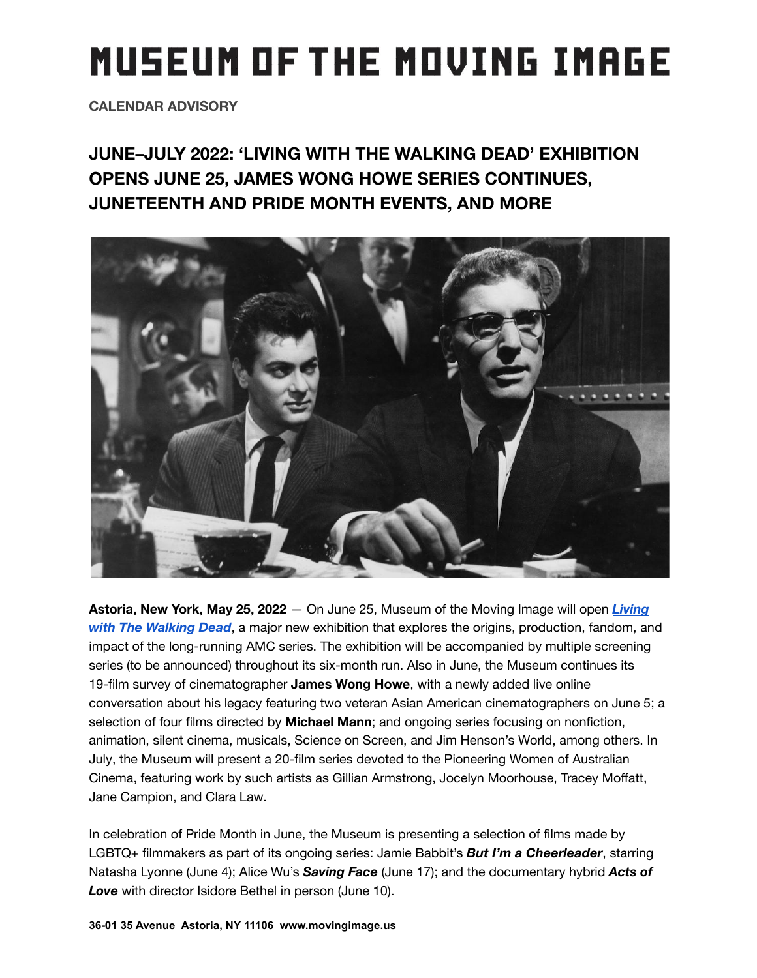# **MUSEUM OF THE MOVING IMAGE**

**CALENDAR ADVISORY**

**JUNE–JULY 2022: 'LIVING WITH THE WALKING DEAD' EXHIBITION OPENS JUNE 25, JAMES WONG HOWE SERIES CONTINUES, JUNETEENTH AND PRIDE MONTH EVENTS, AND MORE**



**Astoria, New York, May 25, 2022** — On June 25, Museum of the Moving Image will open *[Living](https://movingimage.us/event/living-with-the-walking-dead/) [with The Walking Dead](https://movingimage.us/event/living-with-the-walking-dead/)*, a major new exhibition that explores the origins, production, fandom, and impact of the long-running AMC series. The exhibition will be accompanied by multiple screening series (to be announced) throughout its six-month run. Also in June, the Museum continues its 19-film survey of cinematographer **James Wong Howe**, with a newly added live online conversation about his legacy featuring two veteran Asian American cinematographers on June 5; a selection of four films directed by **Michael Mann**; and ongoing series focusing on nonfiction, animation, silent cinema, musicals, Science on Screen, and Jim Henson's World, among others. In July, the Museum will present a 20-film series devoted to the Pioneering Women of Australian Cinema, featuring work by such artists as Gillian Armstrong, Jocelyn Moorhouse, Tracey Moffatt, Jane Campion, and Clara Law.

In celebration of Pride Month in June, the Museum is presenting a selection of films made by LGBTQ+ filmmakers as part of its ongoing series: Jamie Babbit's *But I'm a Cheerleader*, starring Natasha Lyonne (June 4); Alice Wu's *Saving Face* (June 17); and the documentary hybrid *Acts of Love* with director Isidore Bethel in person (June 10).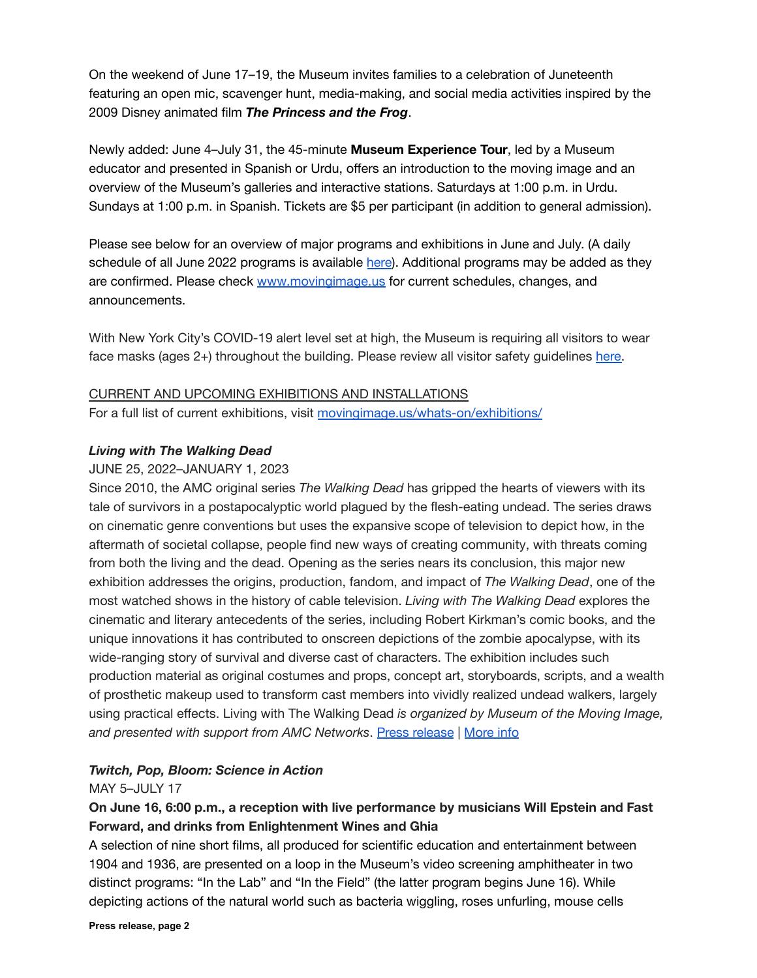On the weekend of June 17–19, the Museum invites families to a celebration of Juneteenth featuring an open mic, scavenger hunt, media-making, and social media activities inspired by the 2009 Disney animated film *The Princess and the Frog*.

Newly added: June 4–July 31, the 45-minute **Museum Experience Tour**, led by a Museum educator and presented in Spanish or Urdu, offers an introduction to the moving image and an overview of the Museum's galleries and interactive stations. Saturdays at 1:00 p.m. in Urdu. Sundays at 1:00 p.m. in Spanish. Tickets are \$5 per participant (in addition to general admission).

Please see below for an overview of major programs and exhibitions in June and July. (A daily schedule of all June 2022 programs is available [here](https://movingimage.us/events/month/2022-06/?tribe_filterbar_category_custom%5B0%5D=253&tribe_filterbar_category_custom%5B1%5D=230)). Additional programs may be added as they are confirmed. Please check [www.movingimage.us](http://www.movingimage.us) for current schedules, changes, and announcements.

With New York City's COVID-19 alert level set at high, the Museum is requiring all visitors to wear face masks (ages 2+) throughout the building. Please review all visitor safety guidelines [here.](https://movingimage.us/visit/safety-2021#:~:text=Read%20all%20our%20guidelines%20for%20safety)

CURRENT AND UPCOMING EXHIBITIONS AND INSTALLATIONS For a full list of current exhibitions, visit [movingimage.us/whats-on/exhibitions/](https://movingimage.us/whats-on/exhibitions/)

## *Living with The Walking Dead*

## JUNE 25, 2022–JANUARY 1, 2023

Since 2010, the AMC original series *The Walking Dead* has gripped the hearts of viewers with its tale of survivors in a postapocalyptic world plagued by the flesh-eating undead. The series draws on cinematic genre conventions but uses the expansive scope of television to depict how, in the aftermath of societal collapse, people find new ways of creating community, with threats coming from both the living and the dead. Opening as the series nears its conclusion, this major new exhibition addresses the origins, production, fandom, and impact of *The Walking Dead*, one of the most watched shows in the history of cable television. *Living with The Walking Dead* explores the cinematic and literary antecedents of the series, including Robert Kirkman's comic books, and the unique innovations it has contributed to onscreen depictions of the zombie apocalypse, with its wide-ranging story of survival and diverse cast of characters. The exhibition includes such production material as original costumes and props, concept art, storyboards, scripts, and a wealth of prosthetic makeup used to transform cast members into vividly realized undead walkers, largely using practical effects. Living with The Walking Dead *is organized by Museum of the Moving Image, and presented with support from AMC Networks*. Press [release](https://movingimage.us/wp-content/uploads/2022/04/pressrelease-living-with-TWD_20220414.pdf) | [More info](https://movingimage.us/event/living-with-the-walking-dead/)

# *Twitch, Pop, Bloom: Science in Action*

## MAY 5–JULY 17

# **On June 16, 6:00 p.m., a reception with live performance by musicians Will Epstein and Fast Forward, and drinks from Enlightenment Wines and Ghia**

A selection of nine short films, all produced for scientific education and entertainment between 1904 and 1936, are presented on a loop in the Museum's video screening amphitheater in two distinct programs: "In the Lab" and "In the Field" (the latter program begins June 16). While depicting actions of the natural world such as bacteria wiggling, roses unfurling, mouse cells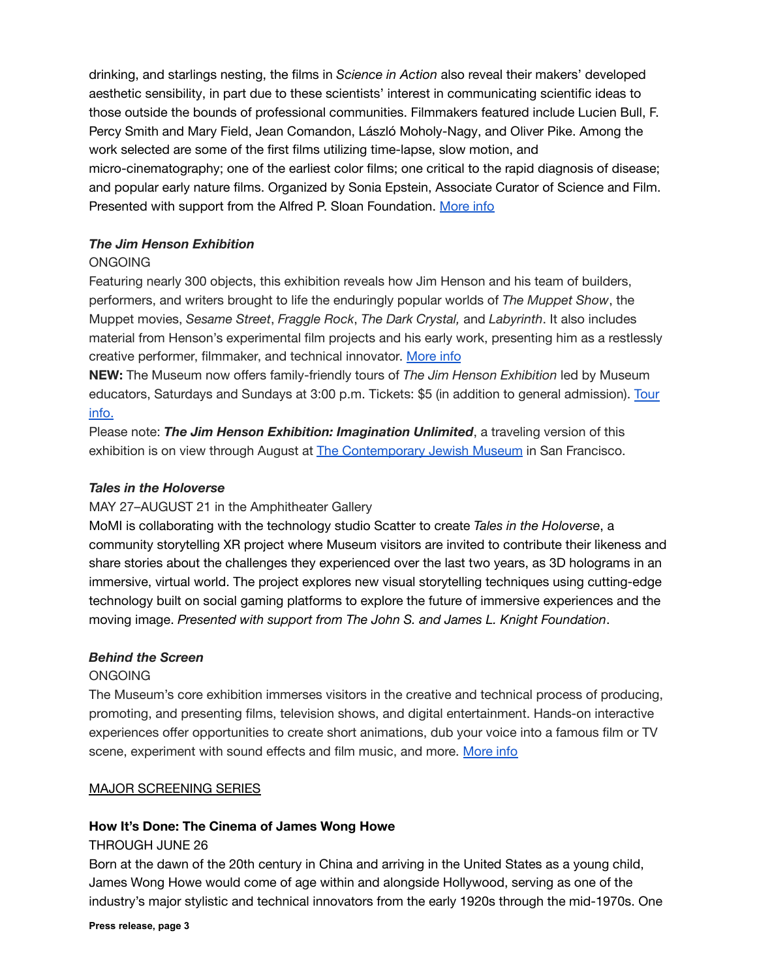drinking, and starlings nesting, the films in *Science in Action* also reveal their makers' developed aesthetic sensibility, in part due to these scientists' interest in communicating scientific ideas to those outside the bounds of professional communities. Filmmakers featured include Lucien Bull, F. Percy Smith and Mary Field, Jean Comandon, László Moholy-Nagy, and Oliver Pike. Among the work selected are some of the first films utilizing time-lapse, slow motion, and micro-cinematography; one of the earliest color films; one critical to the rapid diagnosis of disease; and popular early nature films. Organized by Sonia Epstein, Associate Curator of Science and Film. Presented with support from the Alfred P. Sloan Foundation. [More info](https://movingimage.us/event/twitch-pop-bloom-science-in-action/)

## *The Jim Henson Exhibition*

## **ONGOING**

Featuring nearly 300 objects, this exhibition reveals how Jim Henson and his team of builders, performers, and writers brought to life the enduringly popular worlds of *The Muppet Show*, the Muppet movies, *Sesame Street*, *Fraggle Rock*, *The Dark Crystal,* and *Labyrinth*. It also includes material from Henson's experimental film projects and his early work, presenting him as a restlessly creative performer, filmmaker, and technical innovator. [More info](https://movingimage.us/event/the-jim-henson-exhibition/)

**NEW:** The Museum now offers family-friendly tours of *The Jim Henson Exhibition* led by Museum educators, Saturdays and Sundays at 3:00 p.m. Tickets: \$5 (in addition to general admission). [Tour](https://movingimage.us/event/30518/2022-05-07/) [info.](https://movingimage.us/event/30518/2022-05-07/)

Please note: *The Jim Henson Exhibition: Imagination Unlimited*, a traveling version of this exhibition is on view through August at [The Contemporary](https://www.thecjm.org/exhibitions/157) Jewish Museum in San Francisco.

## *Tales in the Holoverse*

# MAY 27–AUGUST 21 in the Amphitheater Gallery

MoMI is collaborating with the technology studio Scatter to create *Tales in the Holoverse*, a community storytelling XR project where Museum visitors are invited to contribute their likeness and share stories about the challenges they experienced over the last two years, as 3D holograms in an immersive, virtual world. The project explores new visual storytelling techniques using cutting-edge technology built on social gaming platforms to explore the future of immersive experiences and the moving image. *Presented with support from The John S. and James L. Knight Foundation*.

## *Behind the Screen*

## ONGOING

The Museum's core exhibition immerses visitors in the creative and technical process of producing, promoting, and presenting films, television shows, and digital entertainment. Hands-on interactive experiences offer opportunities to create short animations, dub your voice into a famous film or TV scene, experiment with sound effects and film music, and more. [More info](https://movingimage.us/event/behind-the-screen/)

## MAJOR SCREENING SERIES

## **How It's Done: The Cinema of James Wong Howe**

## THROUGH JUNE 26

Born at the dawn of the 20th century in China and arriving in the United States as a young child, James Wong Howe would come of age within and alongside Hollywood, serving as one of the industry's major stylistic and technical innovators from the early 1920s through the mid-1970s. One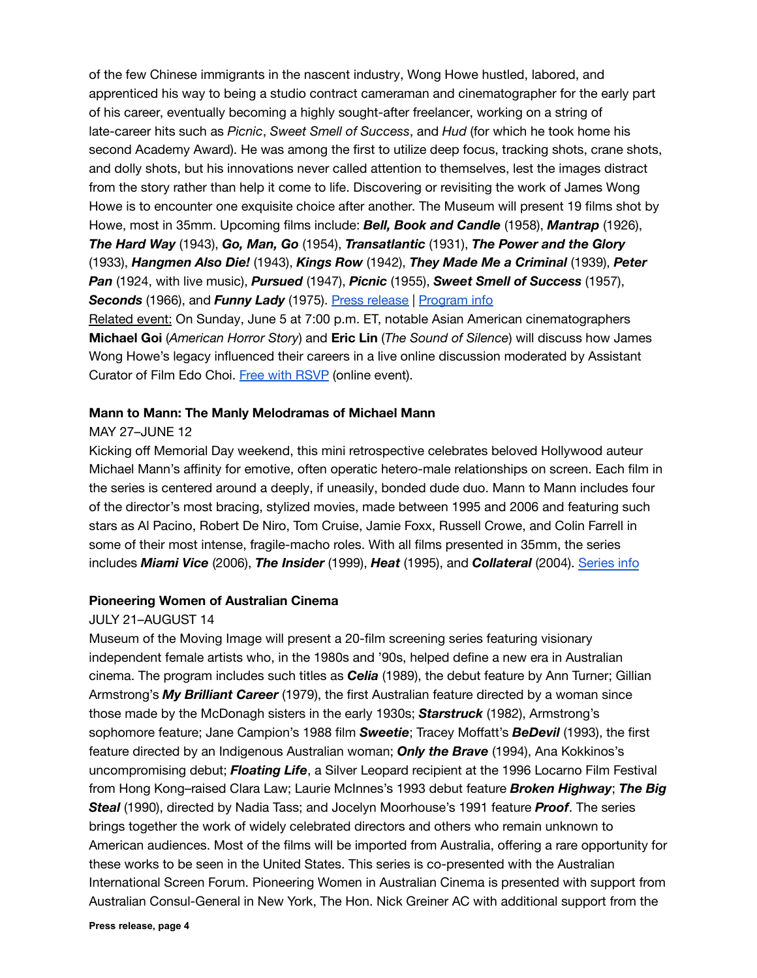of the few Chinese immigrants in the nascent industry, Wong Howe hustled, labored, and apprenticed his way to being a studio contract cameraman and cinematographer for the early part of his career, eventually becoming a highly sought-after freelancer, working on a string of late-career hits such as *Picnic*, *Sweet Smell of Success*, and *Hud* (for which he took home his second Academy Award). He was among the first to utilize deep focus, tracking shots, crane shots, and dolly shots, but his innovations never called attention to themselves, lest the images distract from the story rather than help it come to life. Discovering or revisiting the work of James Wong Howe is to encounter one exquisite choice after another. The Museum will present 19 films shot by Howe, most in 35mm. Upcoming films include: *Bell, Book and Candle* (1958), *Mantrap* (1926), *The Hard Way* (1943), *Go, Man, Go* (1954), *Transatlantic* (1931), *The Power and the Glory* (1933), *Hangmen Also Die!* (1943), *Kings Row* (1942), *They Made Me a Criminal* (1939), *Peter Pan* (1924, with live music), *Pursued* (1947), *Picnic* (1955), *Sweet Smell of Success* (1957), **Seconds** (1966), and **Funny Lady** (1975). [Press release](https://movingimage.us/wp-content/uploads/2022/04/press_release_james-wong-howe_20220421.pdf) | [Program info](https://movingimage.us/series/james-wong-howe/)

Related event: On Sunday, June 5 at 7:00 p.m. ET, notable Asian American cinematographers **Michael Goi** (*American Horror Story*) and **Eric Lin** (*The Sound of Silence*) will discuss how James Wong Howe's legacy influenced their careers in a live online discussion moderated by Assistant Curator of Film Edo Choi. [Free with RSVP](https://docs.google.com/forms/d/e/1FAIpQLSc64mVi-5vnqjJHf-JxfO9fQ0sgzoL1KMPaqm5h8U1GD37TJA/viewform) (online event).

#### **Mann to Mann: The Manly Melodramas of Michael Mann**

#### MAY 27–JUNE 12

Kicking off Memorial Day weekend, this mini retrospective celebrates beloved Hollywood auteur Michael Mann's affinity for emotive, often operatic hetero-male relationships on screen. Each film in the series is centered around a deeply, if uneasily, bonded dude duo. Mann to Mann includes four of the director's most bracing, stylized movies, made between 1995 and 2006 and featuring such stars as Al Pacino, Robert De Niro, Tom Cruise, Jamie Foxx, Russell Crowe, and Colin Farrell in some of their most intense, fragile-macho roles. With all films presented in 35mm, the series includes *Miami Vice* (2006), *The Insider* (1999), *Heat* (1995), and *Collateral* (2004). [Series info](https://movingimage.us/series/mann-to-mann-the-manly-melodramas-of-michael-mann/)

#### **Pioneering Women of Australian Cinema**

#### JULY 21–AUGUST 14

Museum of the Moving Image will present a 20-film screening series featuring visionary independent female artists who, in the 1980s and '90s, helped define a new era in Australian cinema. The program includes such titles as *Celia* (1989), the debut feature by Ann Turner; Gillian Armstrong's *My Brilliant Career* (1979), the first Australian feature directed by a woman since those made by the McDonagh sisters in the early 1930s; *Starstruck* (1982), Armstrong's sophomore feature; Jane Campion's 1988 film *Sweetie*; Tracey Moffatt's *BeDevil* (1993), the first feature directed by an Indigenous Australian woman; *Only the Brave* (1994), Ana Kokkinos's uncompromising debut; *Floating Life*, a Silver Leopard recipient at the 1996 Locarno Film Festival from Hong Kong–raised Clara Law; Laurie McInnes's 1993 debut feature *Broken Highway*; *The Big Steal* (1990), directed by Nadia Tass; and Jocelyn Moorhouse's 1991 feature *Proof*. The series brings together the work of widely celebrated directors and others who remain unknown to American audiences. Most of the films will be imported from Australia, offering a rare opportunity for these works to be seen in the United States. This series is co-presented with the Australian International Screen Forum. Pioneering Women in Australian Cinema is presented with support from Australian Consul-General in New York, The Hon. Nick Greiner AC with additional support from the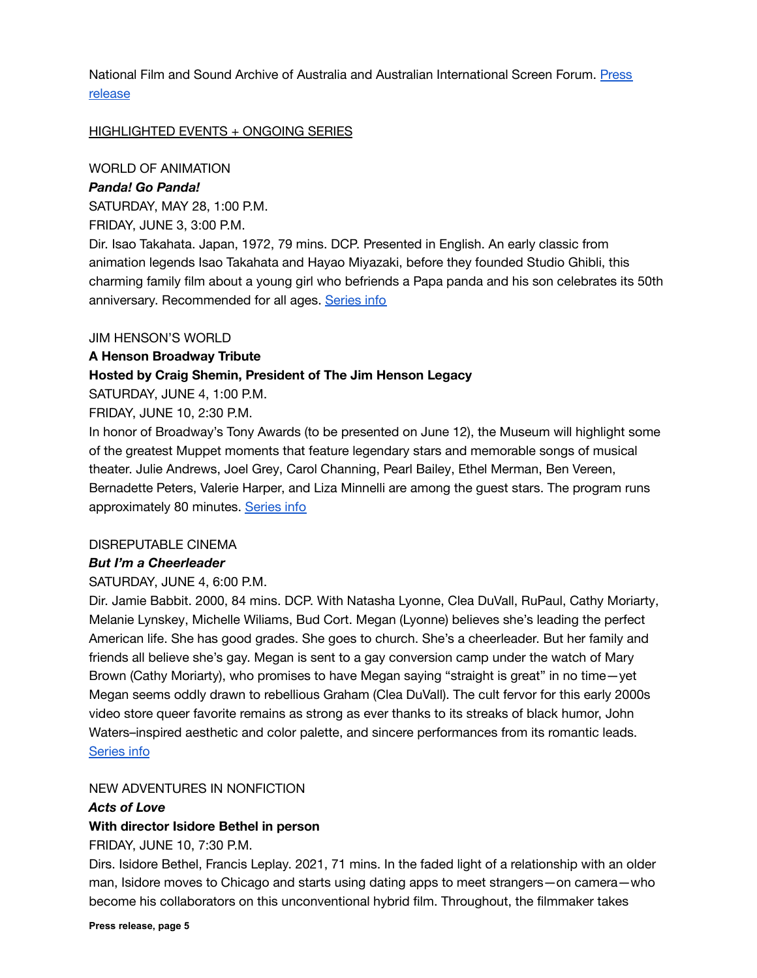National Film and Sound Archive of Australia and Australian International Screen Forum. [Press](https://movingimage.us/wp-content/uploads/2022/05/pressrelease-pioneering-women-20220513.pdf) [release](https://movingimage.us/wp-content/uploads/2022/05/pressrelease-pioneering-women-20220513.pdf)

#### HIGHLIGHTED EVENTS + ONGOING SERIES

WORLD OF ANIMATION

## *Panda! Go Panda!*

SATURDAY, MAY 28, 1:00 P.M.

FRIDAY, JUNE 3, 3:00 P.M.

Dir. Isao Takahata. Japan, 1972, 79 mins. DCP. Presented in English. An early classic from animation legends Isao Takahata and Hayao Miyazaki, before they founded Studio Ghibli, this charming family film about a young girl who befriends a Papa panda and his son celebrates its 50th anniversary. Recommended for all ages. [Series info](https://movingimage.us/series/world-of-animation/)

#### JIM HENSON'S WORLD

#### **A Henson Broadway Tribute**

#### **Hosted by Craig Shemin, President of The Jim Henson Legacy**

SATURDAY, JUNE 4, 1:00 P.M.

FRIDAY, JUNE 10, 2:30 P.M.

In honor of Broadway's Tony Awards (to be presented on June 12), the Museum will highlight some of the greatest Muppet moments that feature legendary stars and memorable songs of musical theater. Julie Andrews, Joel Grey, Carol Channing, Pearl Bailey, Ethel Merman, Ben Vereen, Bernadette Peters, Valerie Harper, and Liza Minnelli are among the guest stars. The program runs approximately 80 minutes. [Series info](https://movingimage.us/series/jim-hensons-world-2020/)

#### DISREPUTABLE CINEMA

#### *But I'm a Cheerleader*

#### SATURDAY, JUNE 4, 6:00 P.M.

Dir. Jamie Babbit. 2000, 84 mins. DCP. With Natasha Lyonne, Clea DuVall, RuPaul, Cathy Moriarty, Melanie Lynskey, Michelle Wiliams, Bud Cort. Megan (Lyonne) believes she's leading the perfect American life. She has good grades. She goes to church. She's a cheerleader. But her family and friends all believe she's gay. Megan is sent to a gay conversion camp under the watch of Mary Brown (Cathy Moriarty), who promises to have Megan saying "straight is great" in no time—yet Megan seems oddly drawn to rebellious Graham (Clea DuVall). The cult fervor for this early 2000s video store queer favorite remains as strong as ever thanks to its streaks of black humor, John Waters–inspired aesthetic and color palette, and sincere performances from its romantic leads. [Series info](https://movingimage.us/series/disreputablecinema/)

#### NEW ADVENTURES IN NONFICTION

#### *Acts of Love*

## **With director Isidore Bethel in person**

FRIDAY, JUNE 10, 7:30 P.M.

Dirs. Isidore Bethel, Francis Leplay. 2021, 71 mins. In the faded light of a relationship with an older man, Isidore moves to Chicago and starts using dating apps to meet strangers—on camera—who become his collaborators on this unconventional hybrid film. Throughout, the filmmaker takes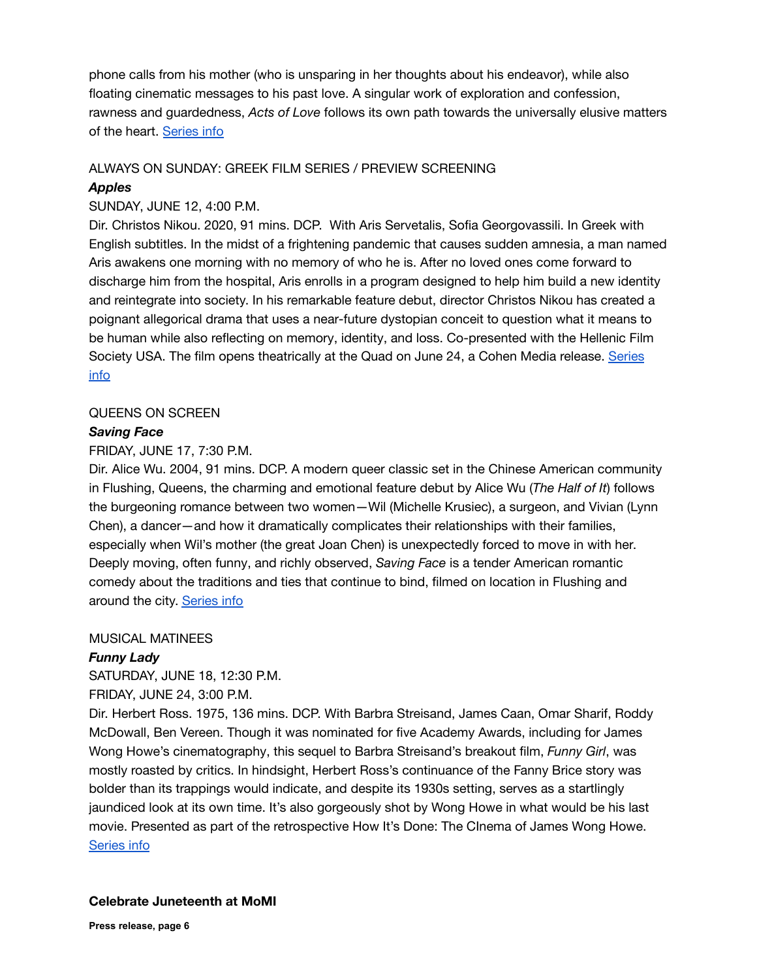phone calls from his mother (who is unsparing in her thoughts about his endeavor), while also floating cinematic messages to his past love. A singular work of exploration and confession, rawness and guardedness, *Acts of Love* follows its own path towards the universally elusive matters of the heart. [Series info](https://movingimage.us/series/new-adventures-in-nonfiction/)

#### ALWAYS ON SUNDAY: GREEK FILM SERIES / PREVIEW SCREENING

## *Apples*

## SUNDAY, JUNE 12, 4:00 P.M.

Dir. Christos Nikou. 2020, 91 mins. DCP. With Aris Servetalis, Sofia Georgovassili. In Greek with English subtitles. In the midst of a frightening pandemic that causes sudden amnesia, a man named Aris awakens one morning with no memory of who he is. After no loved ones come forward to discharge him from the hospital, Aris enrolls in a program designed to help him build a new identity and reintegrate into society. In his remarkable feature debut, director Christos Nikou has created a poignant allegorical drama that uses a near-future dystopian conceit to question what it means to be human while also reflecting on memory, identity, and loss. Co-presented with the Hellenic Film Society USA. The film opens theatrically at the Quad on June 24, a Cohen Media release. [Series](https://movingimage.us/series/always-on-sunday-greek-film-series-2020/) [info](https://movingimage.us/series/always-on-sunday-greek-film-series-2020/)

#### QUEENS ON SCREEN

#### *Saving Face*

#### FRIDAY, JUNE 17, 7:30 P.M.

Dir. Alice Wu. 2004, 91 mins. DCP. A modern queer classic set in the Chinese American community in Flushing, Queens, the charming and emotional feature debut by Alice Wu (*The Half of It*) follows the burgeoning romance between two women—Wil (Michelle Krusiec), a surgeon, and Vivian (Lynn Chen), a dancer—and how it dramatically complicates their relationships with their families, especially when Wil's mother (the great Joan Chen) is unexpectedly forced to move in with her. Deeply moving, often funny, and richly observed, *Saving Face* is a tender American romantic comedy about the traditions and ties that continue to bind, filmed on location in Flushing and around the city. [Series info](https://movingimage.us/series/queens-on-screen/)

#### MUSICAL MATINEES

## *Funny Lady*

SATURDAY, JUNE 18, 12:30 P.M.

#### FRIDAY, JUNE 24, 3:00 P.M.

Dir. Herbert Ross. 1975, 136 mins. DCP. With Barbra Streisand, James Caan, Omar Sharif, Roddy McDowall, Ben Vereen. Though it was nominated for five Academy Awards, including for James Wong Howe's cinematography, this sequel to Barbra Streisand's breakout film, *Funny Girl*, was mostly roasted by critics. In hindsight, Herbert Ross's continuance of the Fanny Brice story was bolder than its trappings would indicate, and despite its 1930s setting, serves as a startlingly jaundiced look at its own time. It's also gorgeously shot by Wong Howe in what would be his last movie. Presented as part of the retrospective How It's Done: The CInema of James Wong Howe. [Series info](https://movingimage.us/series/musical-matinees/)

#### **Celebrate Juneteenth at MoMI**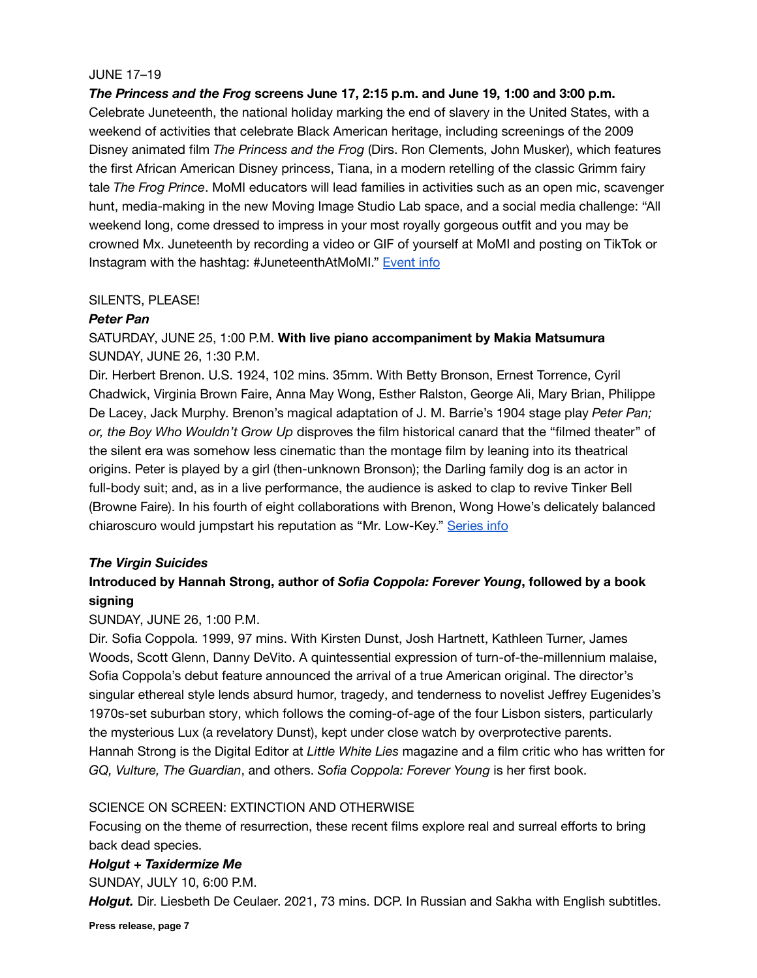## JUNE 17–19

*The Princess and the Frog* **screens June 17, 2:15 p.m. and June 19, 1:00 and 3:00 p.m.**

Celebrate Juneteenth, the national holiday marking the end of slavery in the United States, with a weekend of activities that celebrate Black American heritage, including screenings of the 2009 Disney animated film *The Princess and the Frog* (Dirs. Ron Clements, John Musker), which features the first African American Disney princess, Tiana, in a modern retelling of the classic Grimm fairy tale *The Frog Prince*. MoMI educators will lead families in activities such as an open mic, scavenger hunt, media-making in the new Moving Image Studio Lab space, and a social media challenge: "All weekend long, come dressed to impress in your most royally gorgeous outfit and you may be crowned Mx. Juneteenth by recording a video or GIF of yourself at MoMI and posting on TikTok or Instagram with the hashtag: #JuneteenthAtMoMI." [Event](https://movingimage.us/event/celebrate-juneteenth-at-momi/) info

## SILENTS, PLEASE!

## *Peter Pan*

SATURDAY, JUNE 25, 1:00 P.M. **With live piano accompaniment by Makia Matsumura** SUNDAY, JUNE 26, 1:30 P.M.

Dir. Herbert Brenon. U.S. 1924, 102 mins. 35mm. With Betty Bronson, Ernest Torrence, Cyril Chadwick, Virginia Brown Faire, Anna May Wong, Esther Ralston, George Ali, Mary Brian, Philippe De Lacey, Jack Murphy. Brenon's magical adaptation of J. M. Barrie's 1904 stage play *Peter Pan; or, the Boy Who Wouldn't Grow Up* disproves the film historical canard that the "filmed theater" of the silent era was somehow less cinematic than the montage film by leaning into its theatrical origins. Peter is played by a girl (then-unknown Bronson); the Darling family dog is an actor in full-body suit; and, as in a live performance, the audience is asked to clap to revive Tinker Bell (Browne Faire). In his fourth of eight collaborations with Brenon, Wong Howe's delicately balanced chiaroscuro would jumpstart his reputation as "Mr. Low-Key." [Series info](https://movingimage.us/series/silents-please/)

## *The Virgin Suicides*

# **Introduced by Hannah Strong, author of** *Sofia Coppola: Forever Young***, followed by a book signing**

## SUNDAY, JUNE 26, 1:00 P.M.

Dir. Sofia Coppola. 1999, 97 mins. With Kirsten Dunst, Josh Hartnett, Kathleen Turner, James Woods, Scott Glenn, Danny DeVito. A quintessential expression of turn-of-the-millennium malaise, Sofia Coppola's debut feature announced the arrival of a true American original. The director's singular ethereal style lends absurd humor, tragedy, and tenderness to novelist Jeffrey Eugenides's 1970s-set suburban story, which follows the coming-of-age of the four Lisbon sisters, particularly the mysterious Lux (a revelatory Dunst), kept under close watch by overprotective parents. Hannah Strong is the Digital Editor at *Little White Lies* magazine and a film critic who has written for *GQ, Vulture, The Guardian*, and others. *Sofia Coppola: Forever Young* is her first book.

# SCIENCE ON SCREEN: EXTINCTION AND OTHERWISE

Focusing on the theme of resurrection, these recent films explore real and surreal efforts to bring back dead species.

## *Holgut* **+** *Taxidermize Me*

SUNDAY, JULY 10, 6:00 P.M.

*Holgut.* Dir. Liesbeth De Ceulaer. 2021, 73 mins. DCP. In Russian and Sakha with English subtitles.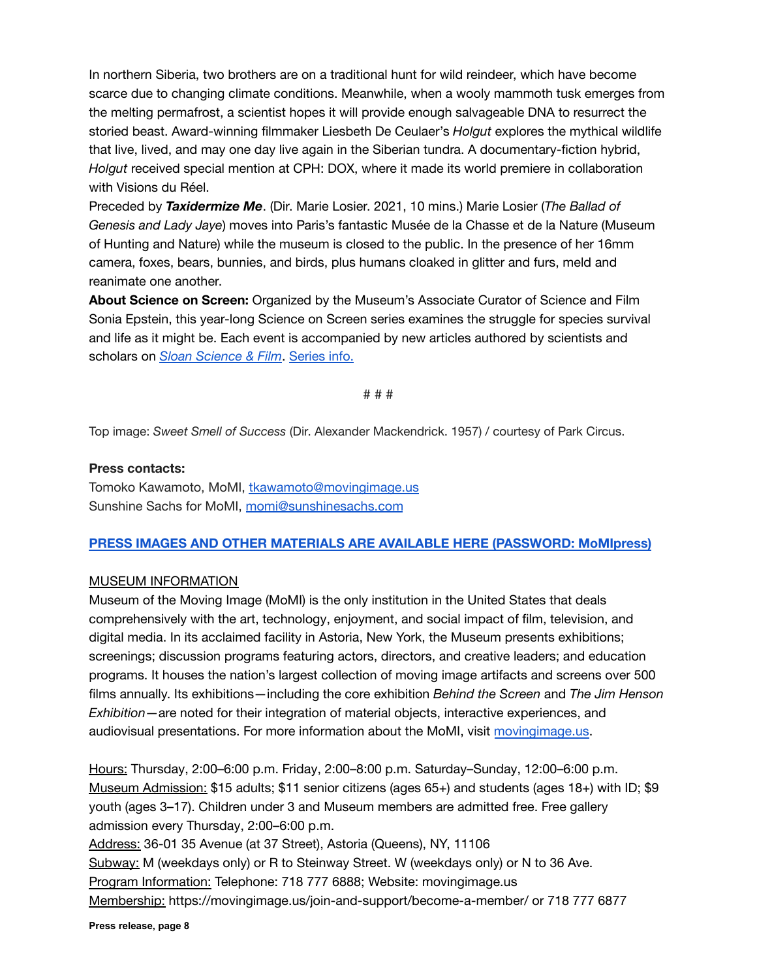In northern Siberia, two brothers are on a traditional hunt for wild reindeer, which have become scarce due to changing climate conditions. Meanwhile, when a wooly mammoth tusk emerges from the melting permafrost, a scientist hopes it will provide enough salvageable DNA to resurrect the storied beast. Award-winning filmmaker Liesbeth De Ceulaer's *Holgut* explores the mythical wildlife that live, lived, and may one day live again in the Siberian tundra. A documentary-fiction hybrid, *Holgut* received special mention at CPH: DOX, where it made its world premiere in collaboration with Visions du Réel.

Preceded by *Taxidermize Me*. (Dir. Marie Losier. 2021, 10 mins.) Marie Losier (*The Ballad of Genesis and Lady Jaye*) moves into Paris's fantastic Musée de la Chasse et de la Nature (Museum of Hunting and Nature) while the museum is closed to the public. In the presence of her 16mm camera, foxes, bears, bunnies, and birds, plus humans cloaked in glitter and furs, meld and reanimate one another.

**About Science on Screen:** Organized by the Museum's Associate Curator of Science and Film Sonia Epstein, this year-long Science on Screen series examines the struggle for species survival and life as it might be. Each event is accompanied by new articles authored by scientists and scholars on *[Sloan Science & Film](http://scienceandfilm.org)*. [Series info.](https://movingimage.us/series/extinction-and-otherwise/)

# # #

Top image: *Sweet Smell of Success* (Dir. Alexander Mackendrick. 1957) / courtesy of Park Circus.

#### **Press contacts:**

Tomoko Kawamoto, MoMI, [tkawamoto@movingimage.us](mailto:tkawamoto@movingimage.us) Sunshine Sachs for MoMI, [momi@sunshinesachs.com](mailto:momi@sunshinesachs.com)

#### **[PRESS IMAGES AND OTHER MATERIALS ARE AVAILABLE HERE \(PASSWORD: MoMIpress\)](https://movingimage.us/about/press-media/)**

#### MUSEUM INFORMATION

Museum of the Moving Image (MoMI) is the only institution in the United States that deals comprehensively with the art, technology, enjoyment, and social impact of film, television, and digital media. In its acclaimed facility in Astoria, New York, the Museum presents exhibitions; screenings; discussion programs featuring actors, directors, and creative leaders; and education programs. It houses the nation's largest collection of moving image artifacts and screens over 500 films annually. Its exhibitions—including the core exhibition *Behind the Screen* and *The Jim Henson Exhibition*—are noted for their integration of material objects, interactive experiences, and audiovisual presentations. For more information about the MoMI, visit [movingimage.us.](https://movingimage.us/)

Hours: Thursday, 2:00–6:00 p.m. Friday, 2:00–8:00 p.m. Saturday–Sunday, 12:00–6:00 p.m. Museum Admission: \$15 adults; \$11 senior citizens (ages 65+) and students (ages 18+) with ID; \$9 youth (ages 3–17). Children under 3 and Museum members are admitted free. Free gallery admission every Thursday, 2:00–6:00 p.m.

Address: 36-01 35 Avenue (at 37 Street), Astoria (Queens), NY, 11106 Subway: M (weekdays only) or R to Steinway Street. W (weekdays only) or N to 36 Ave. Program Information: Telephone: 718 777 6888; Website: movingimage.us Membership: https://movingimage.us/join-and-support/become-a-member/ or 718 777 6877